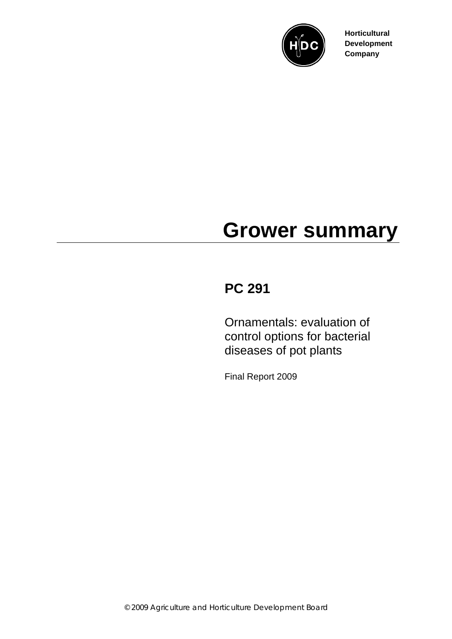

**Horticultural Development Company**

# **Grower summary**

## **PC 291**

Ornamentals: evaluation of control options for bacterial diseases of pot plants

Final Report 2009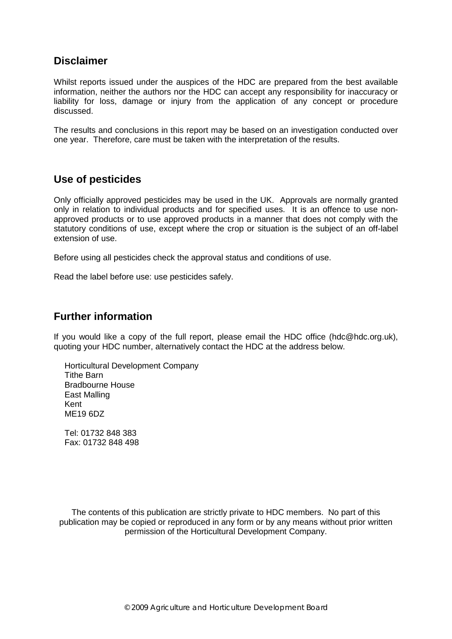#### **Disclaimer**

Whilst reports issued under the auspices of the HDC are prepared from the best available information, neither the authors nor the HDC can accept any responsibility for inaccuracy or liability for loss, damage or injury from the application of any concept or procedure discussed.

The results and conclusions in this report may be based on an investigation conducted over one year. Therefore, care must be taken with the interpretation of the results.

#### **Use of pesticides**

Only officially approved pesticides may be used in the UK. Approvals are normally granted only in relation to individual products and for specified uses. It is an offence to use nonapproved products or to use approved products in a manner that does not comply with the statutory conditions of use, except where the crop or situation is the subject of an off-label extension of use.

Before using all pesticides check the approval status and conditions of use.

Read the label before use: use pesticides safely.

#### **Further information**

If you would like a copy of the full report, please email the HDC office (hdc@hdc.org.uk), quoting your HDC number, alternatively contact the HDC at the address below.

Horticultural Development Company Tithe Barn Bradbourne House East Malling Kent ME19 6DZ

Tel: 01732 848 383 Fax: 01732 848 498

The contents of this publication are strictly private to HDC members. No part of this publication may be copied or reproduced in any form or by any means without prior written permission of the Horticultural Development Company.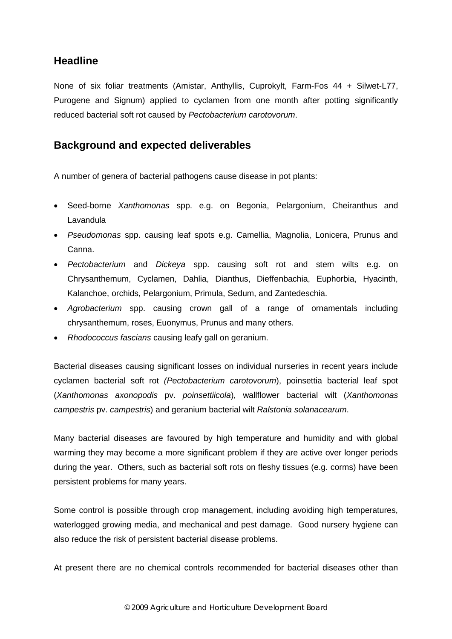#### **Headline**

None of six foliar treatments (Amistar, Anthyllis, Cuprokylt, Farm-Fos 44 + Silwet-L77, Purogene and Signum) applied to cyclamen from one month after potting significantly reduced bacterial soft rot caused by *Pectobacterium carotovorum*.

#### **Background and expected deliverables**

A number of genera of bacterial pathogens cause disease in pot plants:

- Seed-borne *Xanthomonas* spp. e.g. on Begonia, Pelargonium, Cheiranthus and **Lavandula**
- *Pseudomonas* spp. causing leaf spots e.g. Camellia, Magnolia, Lonicera, Prunus and Canna.
- *Pectobacterium* and *Dickeya* spp. causing soft rot and stem wilts e.g. on Chrysanthemum, Cyclamen, Dahlia, Dianthus, Dieffenbachia, Euphorbia, Hyacinth, Kalanchoe, orchids, Pelargonium, Primula, Sedum, and Zantedeschia.
- *Agrobacterium* spp. causing crown gall of a range of ornamentals including chrysanthemum, roses, Euonymus, Prunus and many others.
- *Rhodococcus fascians* causing leafy gall on geranium.

Bacterial diseases causing significant losses on individual nurseries in recent years include cyclamen bacterial soft rot *(Pectobacterium carotovorum*), poinsettia bacterial leaf spot (*Xanthomonas axonopodis* pv. *poinsettiicola*), wallflower bacterial wilt (*Xanthomonas campestris* pv. *campestris*) and geranium bacterial wilt *Ralstonia solanacearum*.

Many bacterial diseases are favoured by high temperature and humidity and with global warming they may become a more significant problem if they are active over longer periods during the year. Others, such as bacterial soft rots on fleshy tissues (e.g. corms) have been persistent problems for many years.

Some control is possible through crop management, including avoiding high temperatures, waterlogged growing media, and mechanical and pest damage. Good nursery hygiene can also reduce the risk of persistent bacterial disease problems.

At present there are no chemical controls recommended for bacterial diseases other than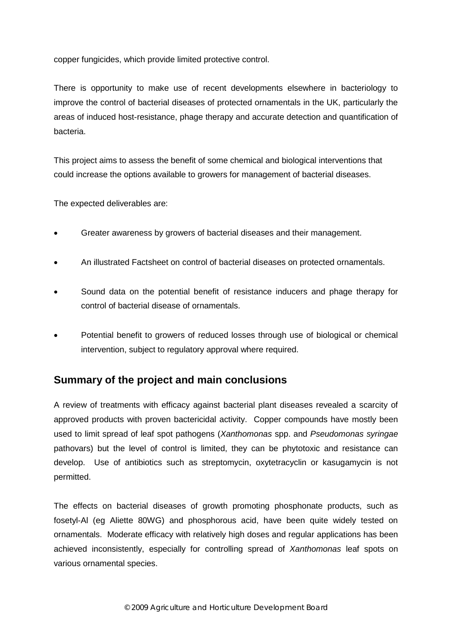copper fungicides, which provide limited protective control.

There is opportunity to make use of recent developments elsewhere in bacteriology to improve the control of bacterial diseases of protected ornamentals in the UK, particularly the areas of induced host-resistance, phage therapy and accurate detection and quantification of bacteria.

This project aims to assess the benefit of some chemical and biological interventions that could increase the options available to growers for management of bacterial diseases.

The expected deliverables are:

- Greater awareness by growers of bacterial diseases and their management.
- An illustrated Factsheet on control of bacterial diseases on protected ornamentals.
- Sound data on the potential benefit of resistance inducers and phage therapy for control of bacterial disease of ornamentals.
- Potential benefit to growers of reduced losses through use of biological or chemical intervention, subject to regulatory approval where required.

#### **Summary of the project and main conclusions**

A review of treatments with efficacy against bacterial plant diseases revealed a scarcity of approved products with proven bactericidal activity. Copper compounds have mostly been used to limit spread of leaf spot pathogens (*Xanthomonas* spp. and *Pseudomonas syringae* pathovars) but the level of control is limited, they can be phytotoxic and resistance can develop. Use of antibiotics such as streptomycin, oxytetracyclin or kasugamycin is not permitted.

The effects on bacterial diseases of growth promoting phosphonate products, such as fosetyl-Al (eg Aliette 80WG) and phosphorous acid, have been quite widely tested on ornamentals. Moderate efficacy with relatively high doses and regular applications has been achieved inconsistently, especially for controlling spread of *Xanthomonas* leaf spots on various ornamental species.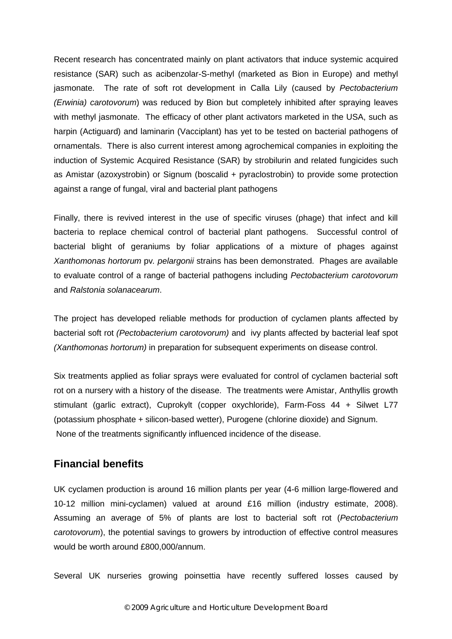Recent research has concentrated mainly on plant activators that induce systemic acquired resistance (SAR) such as acibenzolar-S-methyl (marketed as Bion in Europe) and methyl jasmonate. The rate of soft rot development in Calla Lily (caused by *Pectobacterium (Erwinia) carotovorum*) was reduced by Bion but completely inhibited after spraying leaves with methyl jasmonate. The efficacy of other plant activators marketed in the USA, such as harpin (Actiguard) and laminarin (Vacciplant) has yet to be tested on bacterial pathogens of ornamentals. There is also current interest among agrochemical companies in exploiting the induction of Systemic Acquired Resistance (SAR) by strobilurin and related fungicides such as Amistar (azoxystrobin) or Signum (boscalid + pyraclostrobin) to provide some protection against a range of fungal, viral and bacterial plant pathogens

Finally, there is revived interest in the use of specific viruses (phage) that infect and kill bacteria to replace chemical control of bacterial plant pathogens. Successful control of bacterial blight of geraniums by foliar applications of a mixture of phages against *Xanthomonas hortorum* pv*. pelargonii* strains has been demonstrated. Phages are available to evaluate control of a range of bacterial pathogens including *Pectobacterium carotovorum* and *Ralstonia solanacearum*.

The project has developed reliable methods for production of cyclamen plants affected by bacterial soft rot *(Pectobacterium carotovorum)* and ivy plants affected by bacterial leaf spot *(Xanthomonas hortorum)* in preparation for subsequent experiments on disease control.

Six treatments applied as foliar sprays were evaluated for control of cyclamen bacterial soft rot on a nursery with a history of the disease. The treatments were Amistar, Anthyllis growth stimulant (garlic extract), Cuprokylt (copper oxychloride), Farm-Foss 44 + Silwet L77 (potassium phosphate + silicon-based wetter), Purogene (chlorine dioxide) and Signum. None of the treatments significantly influenced incidence of the disease.

#### **Financial benefits**

UK cyclamen production is around 16 million plants per year (4-6 million large-flowered and 10-12 million mini-cyclamen) valued at around £16 million (industry estimate, 2008). Assuming an average of 5% of plants are lost to bacterial soft rot (*Pectobacterium carotovorum*), the potential savings to growers by introduction of effective control measures would be worth around £800,000/annum.

Several UK nurseries growing poinsettia have recently suffered losses caused by